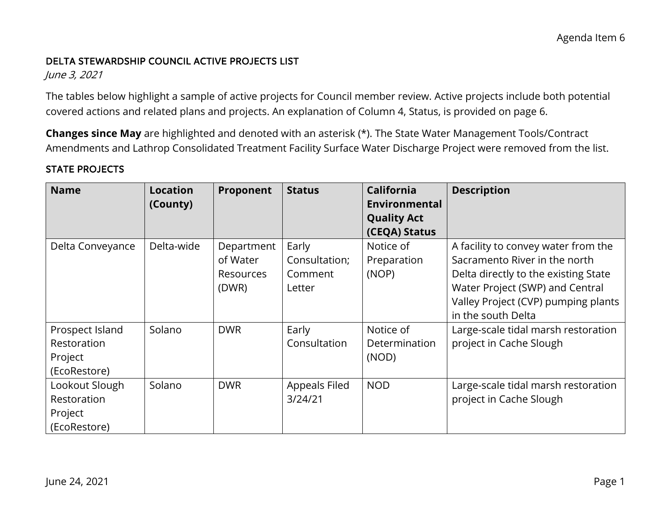### DELTA STEWARDSHIP COUNCIL ACTIVE PROJECTS LIST

June 3, 2021

 covered actions and related plans and projects. An explanation of Column 4, Status, is provided on page 6. The tables below highlight a sample of active projects for Council member review. Active projects include both potential

**Changes since May** are highlighted and denoted with an asterisk (\*). The State Water Management Tools/Contract Amendments and Lathrop Consolidated Treatment Facility Surface Water Discharge Project were removed from the list.

### STATE PROJECTS

| <b>Name</b>      | <b>Location</b><br>(County) | Proponent  | <b>Status</b> | <b>California</b><br>Environmental | <b>Description</b>                   |
|------------------|-----------------------------|------------|---------------|------------------------------------|--------------------------------------|
|                  |                             |            |               | <b>Quality Act</b>                 |                                      |
|                  |                             |            |               | (CEQA) Status                      |                                      |
| Delta Conveyance | Delta-wide                  | Department | Early         | Notice of                          | A facility to convey water from the  |
|                  |                             | of Water   | Consultation; | Preparation                        | Sacramento River in the north        |
|                  |                             | Resources  | Comment       | (NOP)                              | Delta directly to the existing State |
|                  |                             | (DWR)      | Letter        |                                    | Water Project (SWP) and Central      |
|                  |                             |            |               |                                    | Valley Project (CVP) pumping plants  |
|                  |                             |            |               |                                    | in the south Delta                   |
| Prospect Island  | Solano                      | <b>DWR</b> | Early         | Notice of                          | Large-scale tidal marsh restoration  |
| Restoration      |                             |            | Consultation  | Determination                      | project in Cache Slough              |
| Project          |                             |            |               | (NOD)                              |                                      |
| (EcoRestore)     |                             |            |               |                                    |                                      |
| Lookout Slough   | Solano                      | <b>DWR</b> | Appeals Filed | <b>NOD</b>                         | Large-scale tidal marsh restoration  |
| Restoration      |                             |            | 3/24/21       |                                    | project in Cache Slough              |
| Project          |                             |            |               |                                    |                                      |
| (EcoRestore)     |                             |            |               |                                    |                                      |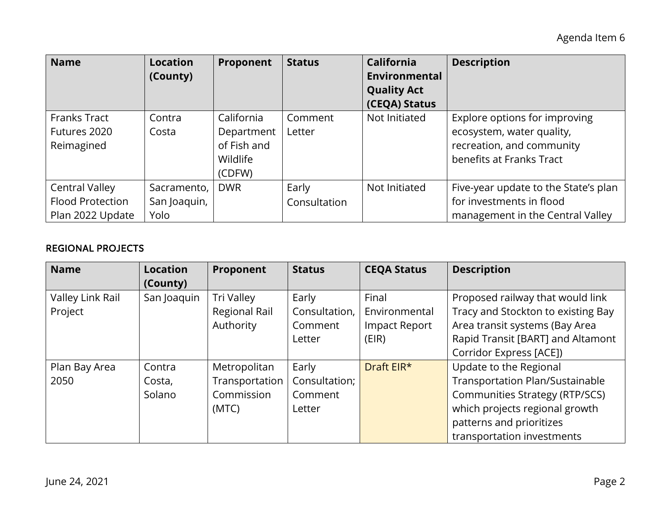Agenda Item 6

| <b>Name</b>                                                          | <b>Location</b><br>(County)         | Proponent                                                     | <b>Status</b>         | <b>California</b><br><b>Environmental</b><br><b>Quality Act</b><br>(CEQA) Status | <b>Description</b>                                                                                                  |
|----------------------------------------------------------------------|-------------------------------------|---------------------------------------------------------------|-----------------------|----------------------------------------------------------------------------------|---------------------------------------------------------------------------------------------------------------------|
| <b>Franks Tract</b><br>Futures 2020<br>Reimagined                    | Contra<br>Costa                     | California<br>Department<br>of Fish and<br>Wildlife<br>(CDFW) | Comment<br>Letter     | Not Initiated                                                                    | Explore options for improving<br>ecosystem, water quality,<br>recreation, and community<br>benefits at Franks Tract |
| <b>Central Valley</b><br><b>Flood Protection</b><br>Plan 2022 Update | Sacramento,<br>San Joaquin,<br>Yolo | <b>DWR</b>                                                    | Early<br>Consultation | Not Initiated                                                                    | Five-year update to the State's plan<br>for investments in flood<br>management in the Central Valley                |

## REGIONAL PROJECTS

| <b>Name</b>      | <b>Location</b> | Proponent      | <b>Status</b> | <b>CEQA Status</b> | <b>Description</b>                    |
|------------------|-----------------|----------------|---------------|--------------------|---------------------------------------|
|                  | (County)        |                |               |                    |                                       |
| Valley Link Rail | San Joaquin     | Tri Valley     | Early         | Final              | Proposed railway that would link      |
| Project          |                 | Regional Rail  | Consultation, | Environmental      | Tracy and Stockton to existing Bay    |
|                  |                 | Authority      | Comment       | Impact Report      | Area transit systems (Bay Area        |
|                  |                 |                | Letter        | (EIR)              | Rapid Transit [BART] and Altamont     |
|                  |                 |                |               |                    | Corridor Express [ACE])               |
| Plan Bay Area    | Contra          | Metropolitan   | Early         | Draft EIR*         | Update to the Regional                |
| 2050             | Costa,          | Transportation | Consultation; |                    | Transportation Plan/Sustainable       |
|                  | Solano          | Commission     | Comment       |                    | <b>Communities Strategy (RTP/SCS)</b> |
|                  |                 | (MTC)          | Letter        |                    | which projects regional growth        |
|                  |                 |                |               |                    | patterns and prioritizes              |
|                  |                 |                |               |                    | transportation investments            |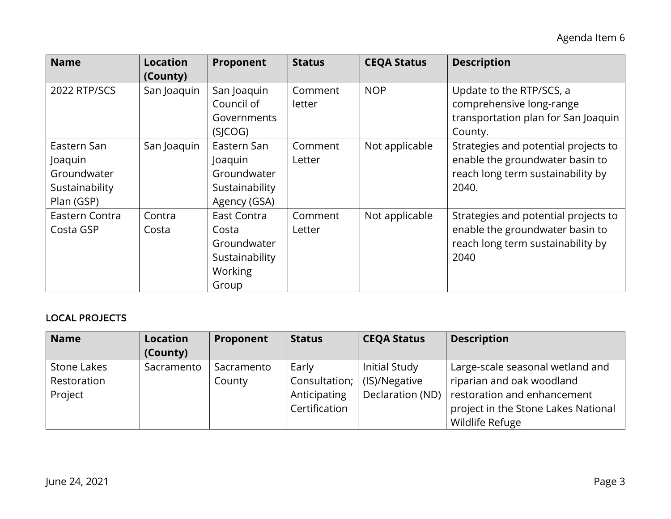| <b>Name</b>                                                           | <b>Location</b><br>(County) | Proponent                                                                 | <b>Status</b>     | <b>CEQA Status</b> | <b>Description</b>                                                                                                    |
|-----------------------------------------------------------------------|-----------------------------|---------------------------------------------------------------------------|-------------------|--------------------|-----------------------------------------------------------------------------------------------------------------------|
| 2022 RTP/SCS                                                          | San Joaquin                 | San Joaquin<br>Council of<br>Governments<br>(SJCOG)                       | Comment<br>letter | <b>NOP</b>         | Update to the RTP/SCS, a<br>comprehensive long-range<br>transportation plan for San Joaquin<br>County.                |
| Eastern San<br>Joaquin<br>Groundwater<br>Sustainability<br>Plan (GSP) | San Joaquin                 | Eastern San<br>Joaquin<br>Groundwater<br>Sustainability<br>Agency (GSA)   | Comment<br>Letter | Not applicable     | Strategies and potential projects to<br>enable the groundwater basin to<br>reach long term sustainability by<br>2040. |
| Eastern Contra<br>Costa GSP                                           | Contra<br>Costa             | East Contra<br>Costa<br>Groundwater<br>Sustainability<br>Working<br>Group | Comment<br>Letter | Not applicable     | Strategies and potential projects to<br>enable the groundwater basin to<br>reach long term sustainability by<br>2040  |

# LOCAL PROJECTS

| <b>Name</b> | <b>Location</b> | Proponent  | <b>Status</b> | <b>CEQA Status</b> | <b>Description</b>                  |
|-------------|-----------------|------------|---------------|--------------------|-------------------------------------|
|             | (County)        |            |               |                    |                                     |
| Stone Lakes | Sacramento      | Sacramento | Early         | Initial Study      | Large-scale seasonal wetland and    |
| Restoration |                 | County     | Consultation; | (IS)/Negative      | riparian and oak woodland           |
| Project     |                 |            | Anticipating  | Declaration (ND)   | restoration and enhancement         |
|             |                 |            | Certification |                    | project in the Stone Lakes National |
|             |                 |            |               |                    | Wildlife Refuge                     |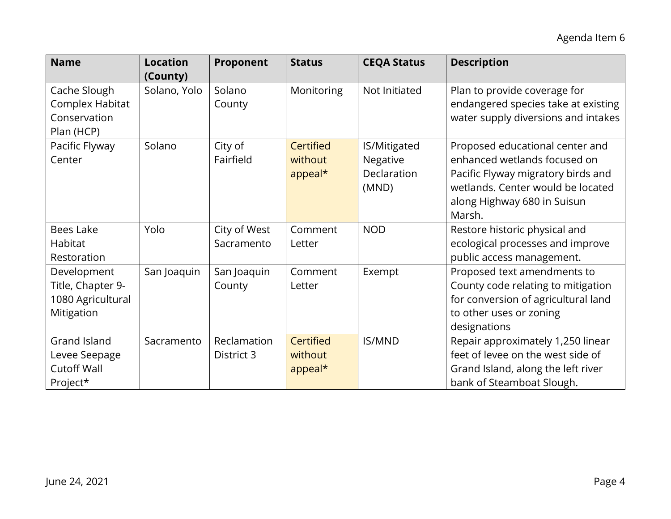| <b>Name</b>                                                            | <b>Location</b><br>(County) | Proponent                  | <b>Status</b>                   | <b>CEQA Status</b>                               | <b>Description</b>                                                                                                                                                                  |
|------------------------------------------------------------------------|-----------------------------|----------------------------|---------------------------------|--------------------------------------------------|-------------------------------------------------------------------------------------------------------------------------------------------------------------------------------------|
| Cache Slough<br>Complex Habitat<br>Conservation<br>Plan (HCP)          | Solano, Yolo                | Solano<br>County           | Monitoring                      | Not Initiated                                    | Plan to provide coverage for<br>endangered species take at existing<br>water supply diversions and intakes                                                                          |
| Pacific Flyway<br>Center                                               | Solano                      | City of<br>Fairfield       | Certified<br>without<br>appeal* | IS/Mitigated<br>Negative<br>Declaration<br>(MND) | Proposed educational center and<br>enhanced wetlands focused on<br>Pacific Flyway migratory birds and<br>wetlands. Center would be located<br>along Highway 680 in Suisun<br>Marsh. |
| <b>Bees Lake</b><br>Habitat<br>Restoration                             | Yolo                        | City of West<br>Sacramento | Comment<br>Letter               | <b>NOD</b>                                       | Restore historic physical and<br>ecological processes and improve<br>public access management.                                                                                      |
| Development<br>Title, Chapter 9-<br>1080 Agricultural<br>Mitigation    | San Joaquin                 | San Joaquin<br>County      | Comment<br>Letter               | Exempt                                           | Proposed text amendments to<br>County code relating to mitigation<br>for conversion of agricultural land<br>to other uses or zoning<br>designations                                 |
| <b>Grand Island</b><br>Levee Seepage<br><b>Cutoff Wall</b><br>Project* | Sacramento                  | Reclamation<br>District 3  | Certified<br>without<br>appeal* | <b>IS/MND</b>                                    | Repair approximately 1,250 linear<br>feet of levee on the west side of<br>Grand Island, along the left river<br>bank of Steamboat Slough.                                           |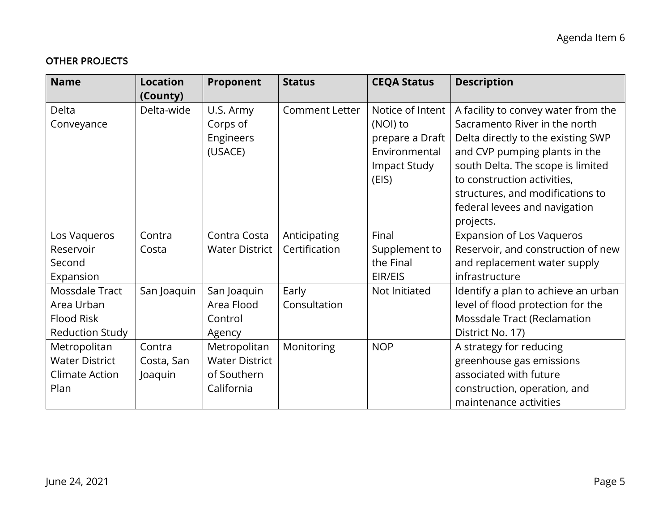# OTHER PROJECTS

| <b>Name</b>                                                                 | <b>Location</b>                 | Proponent                                                          | <b>Status</b>                 | <b>CEQA Status</b>                                                                        | <b>Description</b>                                                                                                                                                                                                                                                                                |
|-----------------------------------------------------------------------------|---------------------------------|--------------------------------------------------------------------|-------------------------------|-------------------------------------------------------------------------------------------|---------------------------------------------------------------------------------------------------------------------------------------------------------------------------------------------------------------------------------------------------------------------------------------------------|
|                                                                             | (County)                        |                                                                    |                               |                                                                                           |                                                                                                                                                                                                                                                                                                   |
| Delta<br>Conveyance                                                         | Delta-wide                      | U.S. Army<br>Corps of<br>Engineers<br>(USACE)                      | <b>Comment Letter</b>         | Notice of Intent<br>(NOI) to<br>prepare a Draft<br>Environmental<br>Impact Study<br>(EIS) | A facility to convey water from the<br>Sacramento River in the north<br>Delta directly to the existing SWP<br>and CVP pumping plants in the<br>south Delta. The scope is limited<br>to construction activities,<br>structures, and modifications to<br>federal levees and navigation<br>projects. |
| Los Vaqueros<br>Reservoir<br>Second<br>Expansion                            | Contra<br>Costa                 | Contra Costa<br><b>Water District</b>                              | Anticipating<br>Certification | Final<br>Supplement to<br>the Final<br>EIR/EIS                                            | <b>Expansion of Los Vaqueros</b><br>Reservoir, and construction of new<br>and replacement water supply<br>infrastructure                                                                                                                                                                          |
| Mossdale Tract<br>Area Urban<br><b>Flood Risk</b><br><b>Reduction Study</b> | San Joaquin                     | San Joaquin<br>Area Flood<br>Control<br>Agency                     | Early<br>Consultation         | Not Initiated                                                                             | Identify a plan to achieve an urban<br>level of flood protection for the<br>Mossdale Tract (Reclamation<br>District No. 17)                                                                                                                                                                       |
| Metropolitan<br><b>Water District</b><br>Climate Action<br>Plan             | Contra<br>Costa, San<br>Joaquin | Metropolitan<br><b>Water District</b><br>of Southern<br>California | Monitoring                    | <b>NOP</b>                                                                                | A strategy for reducing<br>greenhouse gas emissions<br>associated with future<br>construction, operation, and<br>maintenance activities                                                                                                                                                           |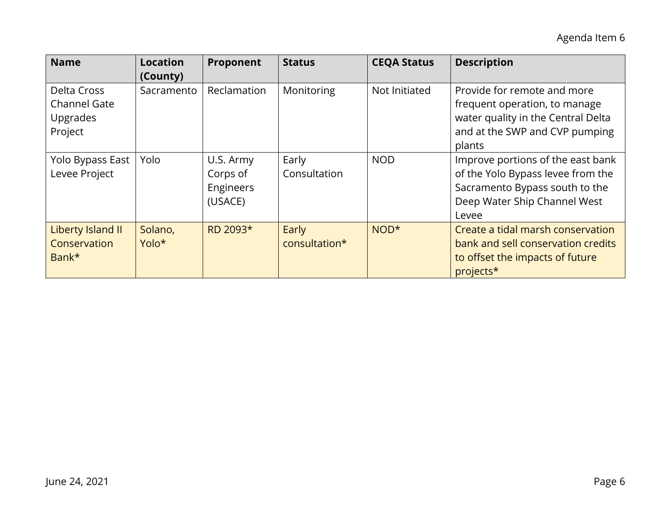| <b>Name</b>                                                      | <b>Location</b><br>(County) | Proponent                                     | <b>Status</b>          | <b>CEQA Status</b> | <b>Description</b>                                                                                                                                |
|------------------------------------------------------------------|-----------------------------|-----------------------------------------------|------------------------|--------------------|---------------------------------------------------------------------------------------------------------------------------------------------------|
| Delta Cross<br><b>Channel Gate</b><br><b>Upgrades</b><br>Project | Sacramento                  | Reclamation                                   | Monitoring             | Not Initiated      | Provide for remote and more<br>frequent operation, to manage<br>water quality in the Central Delta<br>and at the SWP and CVP pumping<br>plants    |
| Yolo Bypass East<br>Levee Project                                | Yolo                        | U.S. Army<br>Corps of<br>Engineers<br>(USACE) | Early<br>Consultation  | <b>NOD</b>         | Improve portions of the east bank<br>of the Yolo Bypass levee from the<br>Sacramento Bypass south to the<br>Deep Water Ship Channel West<br>Levee |
| Liberty Island II<br>Conservation<br>Bank*                       | Solano,<br>Yolo*            | RD 2093*                                      | Early<br>consultation* | NOD <sup>*</sup>   | Create a tidal marsh conservation<br>bank and sell conservation credits<br>to offset the impacts of future<br>projects*                           |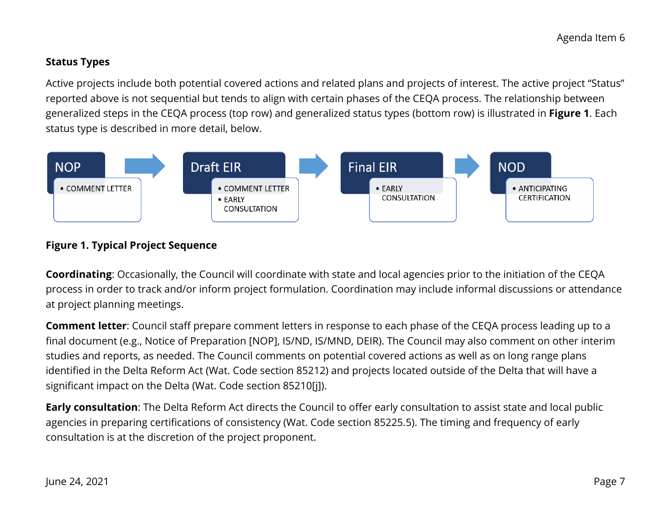# **Status Types**

 status type is described in more detail, below. Active projects include both potential covered actions and related plans and projects of interest. The active project "Status" reported above is not sequential but tends to align with certain phases of the CEQA process. The relationship between generalized steps in the CEQA process (top row) and generalized status types (bottom row) is illustrated in **Figure 1**. Each



## **Figure 1. Typical Project Sequence**

**Coordinating**: Occasionally, the Council will coordinate with state and local agencies prior to the initiation of the CEQA process in order to track and/or inform project formulation. Coordination may include informal discussions or attendance at project planning meetings.

 identified in the Delta Reform Act (Wat. Code section 85212) and projects located outside of the Delta that will have a **Comment letter**: Council staff prepare comment letters in response to each phase of the CEQA process leading up to a final document (e.g., Notice of Preparation [NOP], IS/ND, IS/MND, DEIR). The Council may also comment on other interim studies and reports, as needed. The Council comments on potential covered actions as well as on long range plans significant impact on the Delta (Wat. Code section 85210[j]).

 agencies in preparing certifications of consistency (Wat. Code section 85225.5). The timing and frequency of early consultation is at the discretion of the project proponent. **Early consultation**: The Delta Reform Act directs the Council to offer early consultation to assist state and local public